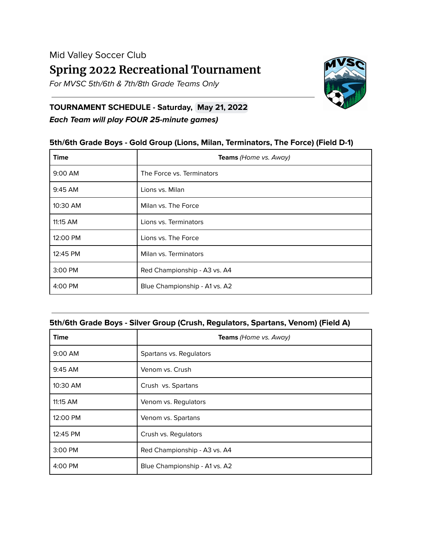For MVSC 5th/6th & 7th/8th Grade Teams Only



## **TOURNAMENT SCHEDULE - Saturday, May 21, 2022 Each Team will play FOUR 25-minute games)**

## **5th/6th Grade Boys - Gold Group (Lions, Milan, Terminators, The Force) (Field D-1)**

| <b>Time</b> | <b>Teams</b> (Home vs. Away)  |
|-------------|-------------------------------|
| $9:00$ AM   | The Force vs. Terminators     |
| $9:45$ AM   | Lions vs. Milan               |
| 10:30 AM    | Milan vs. The Force           |
| 11:15 AM    | Lions vs. Terminators         |
| 12:00 PM    | Lions vs. The Force           |
| 12:45 PM    | Milan vs. Terminators         |
| 3:00 PM     | Red Championship - A3 vs. A4  |
| 4:00 PM     | Blue Championship - A1 vs. A2 |

#### **5th/6th Grade Boys - Silver Group (Crush, Regulators, Spartans, Venom) (Field A)**

| <b>Time</b> | <b>Teams</b> (Home vs. Away)  |
|-------------|-------------------------------|
| $9:00$ AM   | Spartans vs. Regulators       |
| 9:45 AM     | Venom vs. Crush               |
| 10:30 AM    | Crush vs. Spartans            |
| 11:15 AM    | Venom vs. Regulators          |
| 12:00 PM    | Venom vs. Spartans            |
| 12:45 PM    | Crush vs. Regulators          |
| 3:00 PM     | Red Championship - A3 vs. A4  |
| 4:00 PM     | Blue Championship - A1 vs. A2 |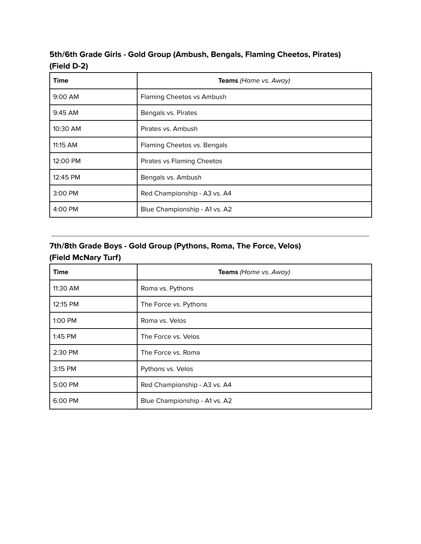# **5th/6th Grade Girls - Gold Group (Ambush, Bengals, Flaming Cheetos, Pirates) (Field D-2)**

| <b>Time</b> | <b>Teams</b> (Home vs. Away)  |
|-------------|-------------------------------|
| 9:00 AM     | Flaming Cheetos vs Ambush     |
| 9:45 AM     | Bengals vs. Pirates           |
| 10:30 AM    | Pirates vs. Ambush            |
| 11:15 AM    | Flaming Cheetos vs. Bengals   |
| 12:00 PM    | Pirates vs Flaming Cheetos    |
| 12:45 PM    | Bengals vs. Ambush            |
| 3:00 PM     | Red Championship - A3 vs. A4  |
| 4:00 PM     | Blue Championship - A1 vs. A2 |

## **7th/8th Grade Boys - Gold Group (Pythons, Roma, The Force, Velos) (Field McNary Turf)**

| <b>Time</b> | Teams (Home vs. Away)         |
|-------------|-------------------------------|
| 11:30 AM    | Roma vs. Pythons              |
| 12:15 PM    | The Force vs. Pythons         |
| 1:00 PM     | Roma vs. Velos                |
| 1:45 PM     | The Force vs. Velos           |
| 2:30 PM     | The Force vs. Roma            |
| 3:15 PM     | Pythons vs. Velos             |
| 5:00 PM     | Red Championship - A3 vs. A4  |
| 6:00 PM     | Blue Championship - A1 vs. A2 |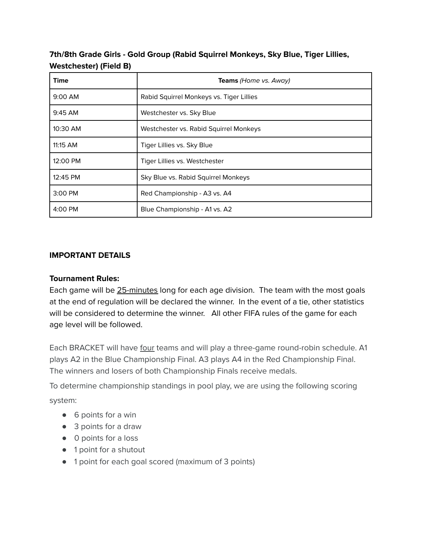**7th/8th Grade Girls - Gold Group (Rabid Squirrel Monkeys, Sky Blue, Tiger Lillies, Westchester) (Field B)**

| <b>Time</b> | Teams (Home vs. Away)                    |
|-------------|------------------------------------------|
| 9:00 AM     | Rabid Squirrel Monkeys vs. Tiger Lillies |
| $9:45$ AM   | Westchester vs. Sky Blue                 |
| 10:30 AM    | Westchester vs. Rabid Squirrel Monkeys   |
| 11:15 AM    | Tiger Lillies vs. Sky Blue               |
| 12:00 PM    | Tiger Lillies vs. Westchester            |
| 12:45 PM    | Sky Blue vs. Rabid Squirrel Monkeys      |
| 3:00 PM     | Red Championship - A3 vs. A4             |
| 4:00 PM     | Blue Championship - A1 vs. A2            |

## **IMPORTANT DETAILS**

#### **Tournament Rules:**

Each game will be 25-minutes long for each age division. The team with the most goals at the end of regulation will be declared the winner. In the event of a tie, other statistics will be considered to determine the winner. All other FIFA rules of the game for each age level will be followed.

Each BRACKET will have four teams and will play a three-game round-robin schedule. A1 plays A2 in the Blue Championship Final. A3 plays A4 in the Red Championship Final. The winners and losers of both Championship Finals receive medals.

To determine championship standings in pool play, we are using the following scoring system:

- 6 points for a win
- 3 points for a draw
- 0 points for a loss
- 1 point for a shutout
- 1 point for each goal scored (maximum of 3 points)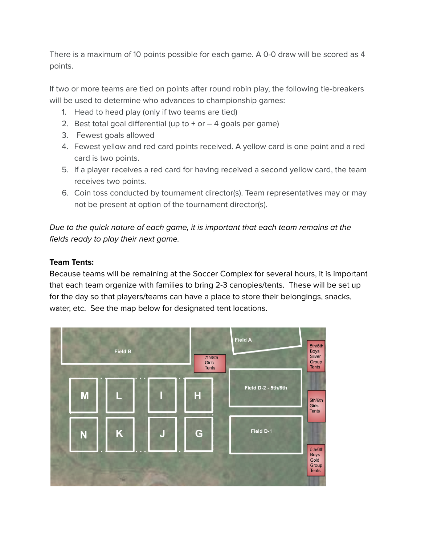There is a maximum of 10 points possible for each game. A 0-0 draw will be scored as 4 points.

If two or more teams are tied on points after round robin play, the following tie-breakers will be used to determine who advances to championship games:

- 1. Head to head play (only if two teams are tied)
- 2. Best total goal differential (up to  $+$  or  $-$  4 goals per game)
- 3. Fewest goals allowed
- 4. Fewest yellow and red card points received. A yellow card is one point and a red card is two points.
- 5. If a player receives a red card for having received a second yellow card, the team receives two points.
- 6. Coin toss conducted by tournament director(s). Team representatives may or may not be present at option of the tournament director(s).

Due to the quick nature of each game, it is important that each team remains at the fields ready to play their next game.

## **Team Tents:**

Because teams will be remaining at the Soccer Complex for several hours, it is important that each team organize with families to bring 2-3 canopies/tents. These will be set up for the day so that players/teams can have a place to store their belongings, snacks, water, etc. See the map below for designated tent locations.